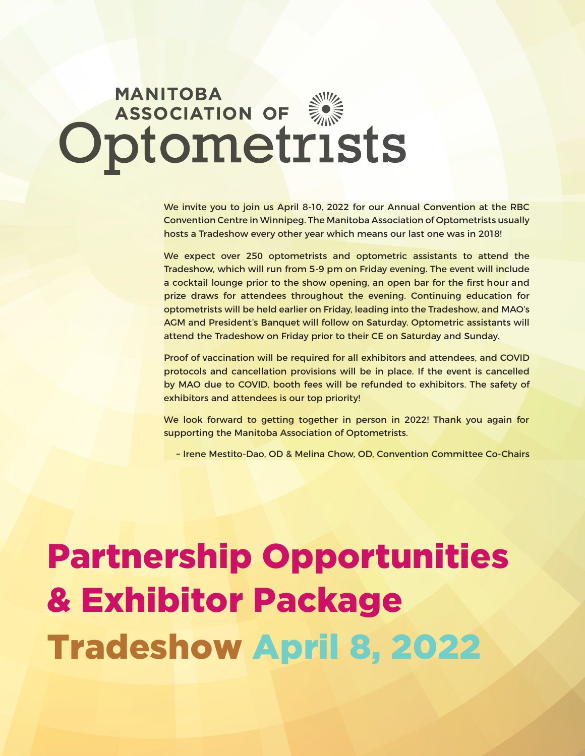# **MANITOBA**<br> **Optometrists**

We invite you to join us April 8-10, 2022 for our Annual Convention at the RBC Convention Centre in Winnipeg. The Manitoba Association of Optometrists usually hosts a Tradeshow every other year which means our last one was in 2018!

We expect over 250 optometrists and optometric assistants to attend the Tradeshow, which will run from 5-9 pm on Friday evening. The event will include a cocktail lounge prior to the show opening, an open bar for the first hour and prize draws for attendees throughout the evening. Continuing education for optometrists will be held earlier on Friday, leading into the Tradeshow, and MAO's AGM and President's Banquet will follow on Saturday. Optometric assistants will attend the Tradeshow on Friday prior to their CE on Saturday and Sunday.

Proof of vaccination will be required for all exhibitors and attendees, and COVID protocols and cancellation provisions will be in place. If the event is cancelled by MAO due to COVID, booth fees will be refunded to exhibitors. The safety of exhibitors and attendees is our top priority!

We look forward to getting together in person in 2022! Thank you again for supporting the Manitoba Association of Optometrists.

~ Irene Mestito-Dao, OD & Melina Chow, OD, Convention Committee Co-Chairs

# Partnership Opportunities & Exhibitor Package Tradeshow April 8, 2022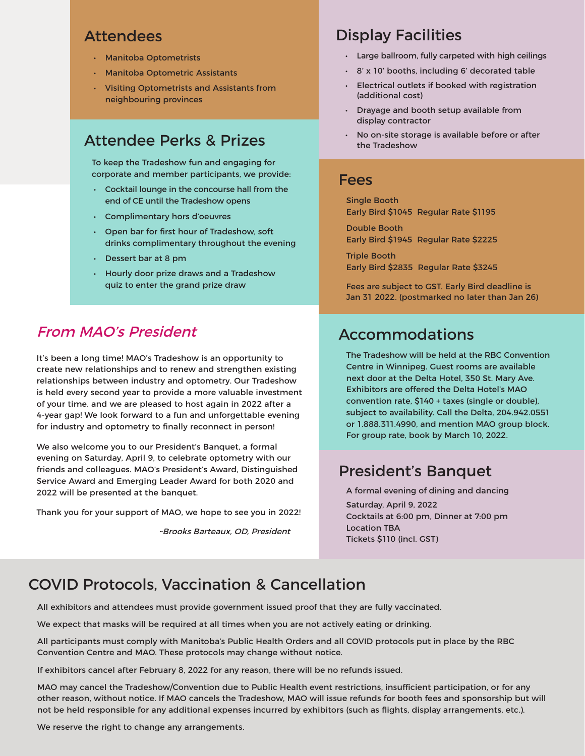# Attendees

- Manitoba Optometrists
- Manitoba Optometric Assistants
- Visiting Optometrists and Assistants from neighbouring provinces

# Attendee Perks & Prizes

To keep the Tradeshow fun and engaging for corporate and member participants, we provide:

- Cocktail lounge in the concourse hall from the end of CE until the Tradeshow opens
- Complimentary hors d'oeuvres
- Open bar for first hour of Tradeshow, soft drinks complimentary throughout the evening
- Dessert bar at 8 pm
- Hourly door prize draws and a Tradeshow quiz to enter the grand prize draw

# From MAO's President

It's been a long time! MAO's Tradeshow is an opportunity to create new relationships and to renew and strengthen existing relationships between industry and optometry. Our Tradeshow is held every second year to provide a more valuable investment of your time. and we are pleased to host again in 2022 after a 4-year gap! We look forward to a fun and unforgettable evening for industry and optometry to finally reconnect in person!

We also welcome you to our President's Banquet, a formal evening on Saturday, April 9, to celebrate optometry with our friends and colleagues. MAO's President's Award, Distinguished Service Award and Emerging Leader Award for both 2020 and 2022 will be presented at the banquet.

Thank you for your support of MAO, we hope to see you in 2022!

~Brooks Barteaux, OD, President

# Display Facilities

- Large ballroom, fully carpeted with high ceilings
- 8' x 10' booths, including 6' decorated table
- Electrical outlets if booked with registration (additional cost)
- Drayage and booth setup available from display contractor
- No on-site storage is available before or after the Tradeshow

## Fees

Single Booth Early Bird \$1045 Regular Rate \$1195

Double Booth Early Bird \$1945 Regular Rate \$2225

Triple Booth Early Bird \$2835 Regular Rate \$3245

Fees are subject to GST. Early Bird deadline is Jan 31 2022. (postmarked no later than Jan 26)

# Accommodations

The Tradeshow will be held at the RBC Convention Centre in Winnipeg. Guest rooms are available next door at the Delta Hotel, 350 St. Mary Ave. Exhibitors are offered the Delta Hotel's MAO convention rate, \$140 + taxes (single or double), subject to availability. Call the Delta, 204.942.0551 or 1.888.311.4990, and mention MAO group block. For group rate, book by March 10, 2022.

# President's Banquet

A formal evening of dining and dancing Saturday, April 9, 2022 Cocktails at 6:00 pm, Dinner at 7:00 pm Location TBA Tickets \$110 (incl. GST)

# COVID Protocols, Vaccination & Cancellation

All exhibitors and attendees must provide government issued proof that they are fully vaccinated.

We expect that masks will be required at all times when you are not actively eating or drinking.

All participants must comply with Manitoba's Public Health Orders and all COVID protocols put in place by the RBC Convention Centre and MAO. These protocols may change without notice.

If exhibitors cancel after February 8, 2022 for any reason, there will be no refunds issued.

MAO may cancel the Tradeshow/Convention due to Public Health event restrictions, insufficient participation, or for any other reason, without notice. If MAO cancels the Tradeshow, MAO will issue refunds for booth fees and sponsorship but will not be held responsible for any additional expenses incurred by exhibitors (such as flights, display arrangements, etc.).

We reserve the right to change any arrangements.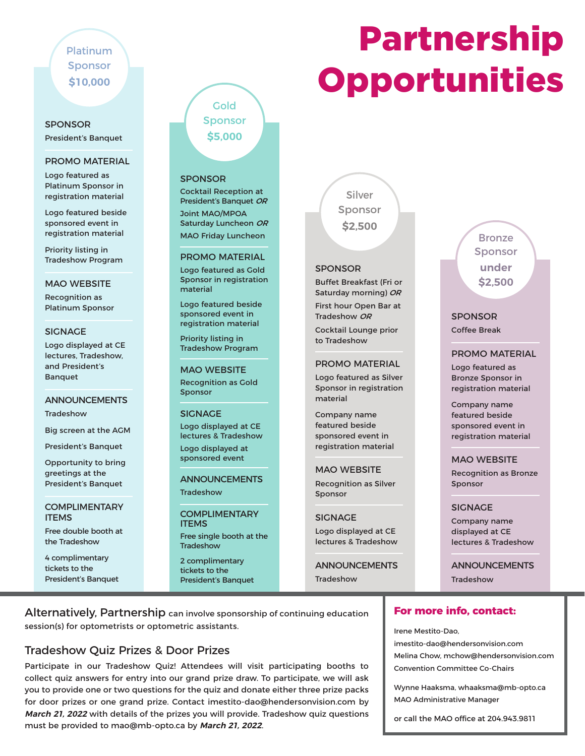# Platinum Sponsor **\$10,000**

# SPONSOR

President's Banquet

#### PROMO MATERIAL

Logo featured as Platinum Sponsor in registration material

Logo featured beside sponsored event in registration material

Priority listing in Tradeshow Program

#### MAO WEBSITE

Recognition as Platinum Sponsor

#### SIGNAGE

Logo displayed at CE lectures, Tradeshow, and President's **Banquet** 

#### ANNOUNCEMENTS

**Tradeshow** 

Big screen at the AGM

President's Banquet

Opportunity to bring greetings at the President's Banquet

#### **COMPLIMENTARY** ITEMS

Free double booth at the Tradeshow

4 complimentary tickets to the President's Banquet

# Sponsor **\$5,000**

**Gold** 

#### SPONSOR

Cocktail Reception at President's Banquet OR Joint MAO/MPOA Saturday Luncheon OR MAO Friday Luncheon

#### PROMO MATERIAL

Logo featured as Gold Sponsor in registration material

Logo featured beside sponsored event in registration material

Priority listing in Tradeshow Program

MAO WEBSITE Recognition as Gold Sponsor

#### SIGNAGE Logo displayed at CE lectures & Tradeshow Logo displayed at sponsored event

ANNOUNCEMENTS

**Tradeshow** 

**COMPLIMENTARY ITEMS** Free single booth at the **Tradeshow** 

2 complimentary tickets to the President's Banquet



#### SPONSOR

Buffet Breakfast (Fri or Saturday morning) OR First hour Open Bar at

Tradeshow OR Cocktail Lounge prior to Tradeshow

#### PROMO MATERIAL

Logo featured as Silver Sponsor in registration material

Company name featured beside sponsored event in registration material

#### MAO WEBSITE

Recognition as Silver Sponsor

#### SIGNAGE

Logo displayed at CE lectures & Tradeshow

ANNOUNCEMENTS Tradeshow

Alternatively, Partnership can involve sponsorship of continuing education session(s) for optometrists or optometric assistants.

# Tradeshow Quiz Prizes & Door Prizes

Participate in our Tradeshow Quiz! Attendees will visit participating booths to collect quiz answers for entry into our grand prize draw. To participate, we will ask you to provide one or two questions for the quiz and donate either three prize packs for door prizes or one grand prize. Contact imestito-dao@hendersonvision.com by **March 21, 2022** with details of the prizes you will provide. Tradeshow quiz questions must be provided to mao@mb-opto.ca by **March 21, 2022**.

# SPONSOR Coffee Break

#### PROMO MATERIAL

Bronze Sponsor **under \$2,500**

Logo featured as Bronze Sponsor in registration material

Company name featured beside sponsored event in registration material

#### MAO WEBSITE

Recognition as Bronze Sponsor

#### SIGNAGE

Company name displayed at CE lectures & Tradeshow

ANNOUNCEMENTS **Tradeshow** 

#### **For more info, contact:**

Irene Mestito-Dao,

imestito-dao@hendersonvision.com Melina Chow, mchow@hendersonvision.com Convention Committee Co-Chairs

Wynne Haaksma, whaaksma@mb-opto.ca MAO Administrative Manager

or call the MAO office at 204.943.9811

# Partnership **Opportunities**